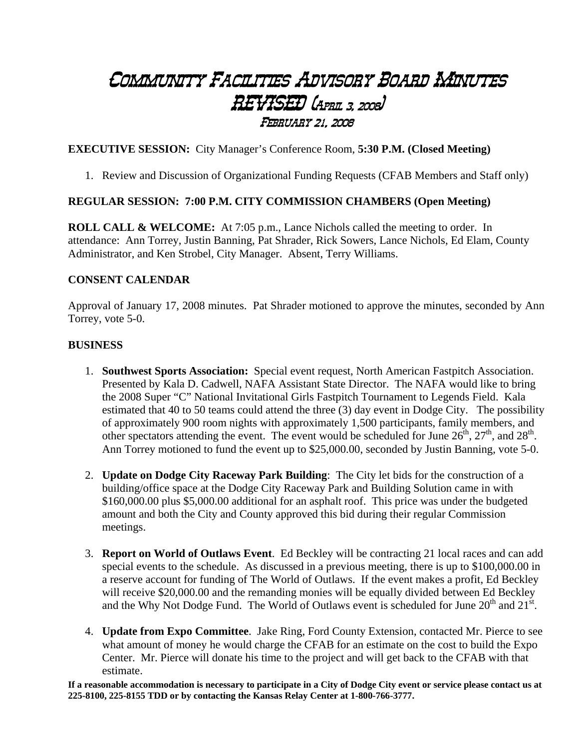## Community Facilities Advisory Board Minutes REVISED (April 3, 2008) February 21, 2008

**EXECUTIVE SESSION:** City Manager's Conference Room, **5:30 P.M. (Closed Meeting)** 

1. Review and Discussion of Organizational Funding Requests (CFAB Members and Staff only)

## **REGULAR SESSION: 7:00 P.M. CITY COMMISSION CHAMBERS (Open Meeting)**

**ROLL CALL & WELCOME:** At 7:05 p.m., Lance Nichols called the meeting to order. In attendance: Ann Torrey, Justin Banning, Pat Shrader, Rick Sowers, Lance Nichols, Ed Elam, County Administrator, and Ken Strobel, City Manager. Absent, Terry Williams.

## **CONSENT CALENDAR**

Approval of January 17, 2008 minutes. Pat Shrader motioned to approve the minutes, seconded by Ann Torrey, vote 5-0.

## **BUSINESS**

- 1. **Southwest Sports Association:** Special event request, North American Fastpitch Association. Presented by Kala D. Cadwell, NAFA Assistant State Director. The NAFA would like to bring the 2008 Super "C" National Invitational Girls Fastpitch Tournament to Legends Field. Kala estimated that 40 to 50 teams could attend the three (3) day event in Dodge City. The possibility of approximately 900 room nights with approximately 1,500 participants, family members, and other spectators attending the event. The event would be scheduled for June  $26<sup>th</sup>$ ,  $27<sup>th</sup>$ , and  $28<sup>th</sup>$ . Ann Torrey motioned to fund the event up to \$25,000.00, seconded by Justin Banning, vote 5-0.
- 2. **Update on Dodge City Raceway Park Building**: The City let bids for the construction of a building/office space at the Dodge City Raceway Park and Building Solution came in with \$160,000.00 plus \$5,000.00 additional for an asphalt roof. This price was under the budgeted amount and both the City and County approved this bid during their regular Commission meetings.
- 3. **Report on World of Outlaws Event**. Ed Beckley will be contracting 21 local races and can add special events to the schedule. As discussed in a previous meeting, there is up to \$100,000.00 in a reserve account for funding of The World of Outlaws. If the event makes a profit, Ed Beckley will receive \$20,000.00 and the remanding monies will be equally divided between Ed Beckley and the Why Not Dodge Fund. The World of Outlaws event is scheduled for June  $20<sup>th</sup>$  and  $21<sup>st</sup>$ .
- 4. **Update from Expo Committee**. Jake Ring, Ford County Extension, contacted Mr. Pierce to see what amount of money he would charge the CFAB for an estimate on the cost to build the Expo Center. Mr. Pierce will donate his time to the project and will get back to the CFAB with that estimate.

**If a reasonable accommodation is necessary to participate in a City of Dodge City event or service please contact us at 225-8100, 225-8155 TDD or by contacting the Kansas Relay Center at 1-800-766-3777.**